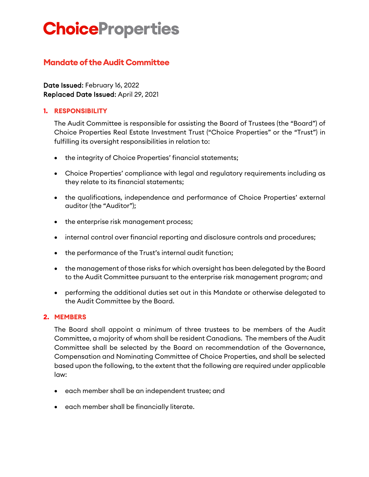# **ChoiceProperties**

## **Mandate of the Audit Committee**

Date Issued: February 16, 2022 Replaced Date Issued: April 29, 2021

## **1. RESPONSIBILITY**

The Audit Committee is responsible for assisting the Board of Trustees (the "Board") of Choice Properties Real Estate Investment Trust ("Choice Properties" or the "Trust") in fulfilling its oversight responsibilities in relation to:

- the integrity of Choice Properties' financial statements;
- Choice Properties' compliance with legal and regulatory requirements including as they relate to its financial statements;
- the qualifications, independence and performance of Choice Properties' external auditor (the "Auditor");
- the enterprise risk management process;
- internal control over financial reporting and disclosure controls and procedures;
- the performance of the Trust's internal audit function;
- the management of those risks for which oversight has been delegated by the Board to the Audit Committee pursuant to the enterprise risk management program; and
- performing the additional duties set out in this Mandate or otherwise delegated to the Audit Committee by the Board.

## **2. MEMBERS**

The Board shall appoint a minimum of three trustees to be members of the Audit Committee, a majority of whom shall be resident Canadians. The members of the Audit Committee shall be selected by the Board on recommendation of the Governance, Compensation and Nominating Committee of Choice Properties, and shall be selected based upon the following, to the extent that the following are required under applicable law:

- each member shall be an independent trustee; and
- each member shall be financially literate.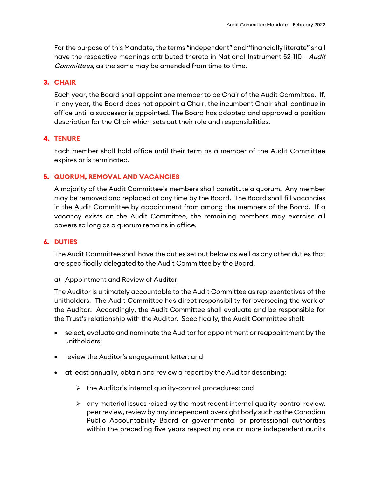For the purpose of this Mandate, the terms "independent" and "financially literate" shall have the respective meanings attributed thereto in National Instrument 52-110 - Audit Committees, as the same may be amended from time to time.

#### **3. CHAIR**

Each year, the Board shall appoint one member to be Chair of the Audit Committee. If, in any year, the Board does not appoint a Chair, the incumbent Chair shall continue in office until a successor is appointed. The Board has adopted and approved a position description for the Chair which sets out their role and responsibilities.

## **4. TENURE**

Each member shall hold office until their term as a member of the Audit Committee expires or is terminated.

## **5. QUORUM, REMOVAL AND VACANCIES**

A majority of the Audit Committee's members shall constitute a quorum. Any member may be removed and replaced at any time by the Board. The Board shall fill vacancies in the Audit Committee by appointment from among the members of the Board. If a vacancy exists on the Audit Committee, the remaining members may exercise all powers so long as a quorum remains in office.

#### **6. DUTIES**

The Audit Committee shall have the duties set out below as well as any other duties that are specifically delegated to the Audit Committee by the Board.

#### a) Appointment and Review of Auditor

The Auditor is ultimately accountable to the Audit Committee as representatives of the unitholders. The Audit Committee has direct responsibility for overseeing the work of the Auditor. Accordingly, the Audit Committee shall evaluate and be responsible for the Trust's relationship with the Auditor. Specifically, the Audit Committee shall:

- select, evaluate and nominate the Auditor for appointment or reappointment by the unitholders;
- review the Auditor's engagement letter; and
- at least annually, obtain and review a report by the Auditor describing:
	- $\triangleright$  the Auditor's internal quality-control procedures; and
	- $\triangleright$  any material issues raised by the most recent internal quality-control review, peer review, review by any independent oversight body such as the Canadian Public Accountability Board or governmental or professional authorities within the preceding five years respecting one or more independent audits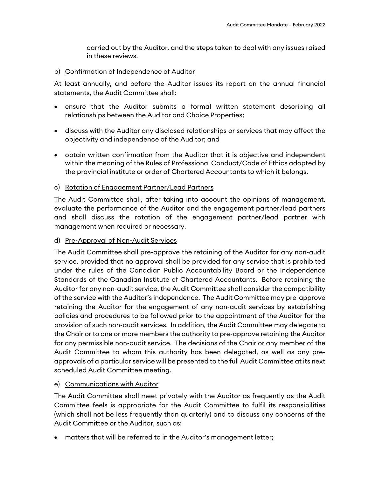carried out by the Auditor, and the steps taken to deal with any issues raised in these reviews.

#### b) Confirmation of Independence of Auditor

At least annually, and before the Auditor issues its report on the annual financial statements, the Audit Committee shall:

- ensure that the Auditor submits a formal written statement describing all relationships between the Auditor and Choice Properties;
- discuss with the Auditor any disclosed relationships or services that may affect the objectivity and independence of the Auditor; and
- obtain written confirmation from the Auditor that it is objective and independent within the meaning of the Rules of Professional Conduct/Code of Ethics adopted by the provincial institute or order of Chartered Accountants to which it belongs.

## c) Rotation of Engagement Partner/Lead Partners

The Audit Committee shall, after taking into account the opinions of management, evaluate the performance of the Auditor and the engagement partner/lead partners and shall discuss the rotation of the engagement partner/lead partner with management when required or necessary.

## d) Pre-Approval of Non-Audit Services

The Audit Committee shall pre-approve the retaining of the Auditor for any non-audit service, provided that no approval shall be provided for any service that is prohibited under the rules of the Canadian Public Accountability Board or the Independence Standards of the Canadian Institute of Chartered Accountants. Before retaining the Auditor for any non-audit service, the Audit Committee shall consider the compatibility of the service with the Auditor's independence. The Audit Committee may pre-approve retaining the Auditor for the engagement of any non-audit services by establishing policies and procedures to be followed prior to the appointment of the Auditor for the provision of such non-audit services. In addition, the Audit Committee may delegate to the Chair or to one or more members the authority to pre-approve retaining the Auditor for any permissible non-audit service. The decisions of the Chair or any member of the Audit Committee to whom this authority has been delegated, as well as any preapprovals of a particular service will be presented to the full Audit Committee at its next scheduled Audit Committee meeting.

## e) Communications with Auditor

The Audit Committee shall meet privately with the Auditor as frequently as the Audit Committee feels is appropriate for the Audit Committee to fulfil its responsibilities (which shall not be less frequently than quarterly) and to discuss any concerns of the Audit Committee or the Auditor, such as:

• matters that will be referred to in the Auditor's management letter;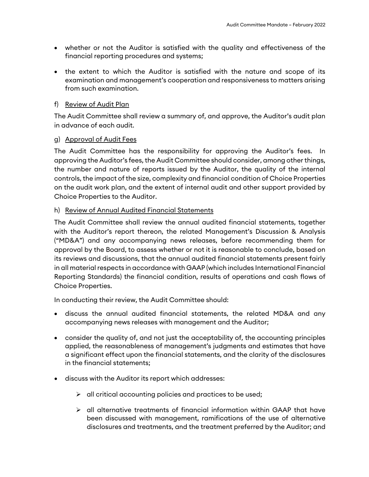- whether or not the Auditor is satisfied with the quality and effectiveness of the financial reporting procedures and systems;
- the extent to which the Auditor is satisfied with the nature and scope of its examination and management's cooperation and responsiveness to matters arising from such examination.

#### f) Review of Audit Plan

The Audit Committee shall review a summary of, and approve, the Auditor's audit plan in advance of each audit.

#### g) Approval of Audit Fees

The Audit Committee has the responsibility for approving the Auditor's fees. In approving the Auditor's fees, the Audit Committee should consider, among other things, the number and nature of reports issued by the Auditor, the quality of the internal controls, the impact of the size, complexity and financial condition of Choice Properties on the audit work plan, and the extent of internal audit and other support provided by Choice Properties to the Auditor.

#### h) Review of Annual Audited Financial Statements

The Audit Committee shall review the annual audited financial statements, together with the Auditor's report thereon, the related Management's Discussion & Analysis ("MD&A") and any accompanying news releases, before recommending them for approval by the Board, to assess whether or not it is reasonable to conclude, based on its reviews and discussions, that the annual audited financial statements present fairly in all material respects in accordance with GAAP (which includes International Financial Reporting Standards) the financial condition, results of operations and cash flows of Choice Properties.

In conducting their review, the Audit Committee should:

- discuss the annual audited financial statements, the related MD&A and any accompanying news releases with management and the Auditor;
- consider the quality of, and not just the acceptability of, the accounting principles applied, the reasonableness of management's judgments and estimates that have a significant effect upon the financial statements, and the clarity of the disclosures in the financial statements;
- discuss with the Auditor its report which addresses:
	- $\triangleright$  all critical accounting policies and practices to be used;
	- $\triangleright$  all alternative treatments of financial information within GAAP that have been discussed with management, ramifications of the use of alternative disclosures and treatments, and the treatment preferred by the Auditor; and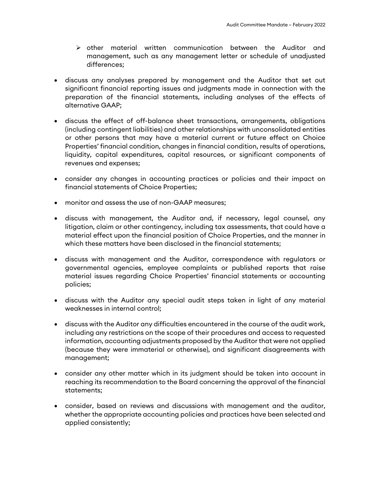- $\triangleright$  other material written communication between the Auditor and management, such as any management letter or schedule of unadjusted differences;
- discuss any analyses prepared by management and the Auditor that set out significant financial reporting issues and judgments made in connection with the preparation of the financial statements, including analyses of the effects of alternative GAAP;
- discuss the effect of off-balance sheet transactions, arrangements, obligations (including contingent liabilities) and other relationships with unconsolidated entities or other persons that may have a material current or future effect on Choice Properties' financial condition, changes in financial condition, results of operations, liquidity, capital expenditures, capital resources, or significant components of revenues and expenses;
- consider any changes in accounting practices or policies and their impact on financial statements of Choice Properties;
- monitor and assess the use of non-GAAP measures;
- discuss with management, the Auditor and, if necessary, legal counsel, any litigation, claim or other contingency, including tax assessments, that could have a material effect upon the financial position of Choice Properties, and the manner in which these matters have been disclosed in the financial statements;
- discuss with management and the Auditor, correspondence with regulators or governmental agencies, employee complaints or published reports that raise material issues regarding Choice Properties' financial statements or accounting policies;
- discuss with the Auditor any special audit steps taken in light of any material weaknesses in internal control;
- discuss with the Auditor any difficulties encountered in the course of the audit work, including any restrictions on the scope of their procedures and access to requested information, accounting adjustments proposed by the Auditor that were not applied (because they were immaterial or otherwise), and significant disagreements with management;
- consider any other matter which in its judgment should be taken into account in reaching its recommendation to the Board concerning the approval of the financial statements;
- consider, based on reviews and discussions with management and the auditor, whether the appropriate accounting policies and practices have been selected and applied consistently;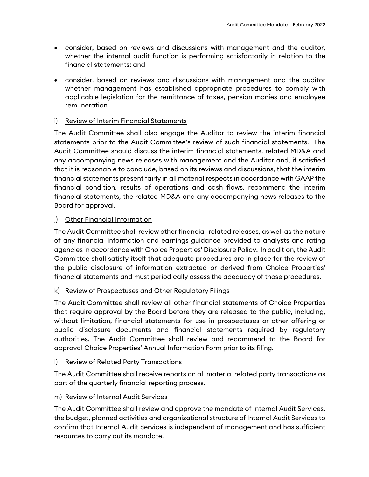- consider, based on reviews and discussions with management and the auditor, whether the internal audit function is performing satisfactorily in relation to the financial statements; and
- consider, based on reviews and discussions with management and the auditor whether management has established appropriate procedures to comply with applicable legislation for the remittance of taxes, pension monies and employee remuneration.

## i) Review of Interim Financial Statements

The Audit Committee shall also engage the Auditor to review the interim financial statements prior to the Audit Committee's review of such financial statements. The Audit Committee should discuss the interim financial statements, related MD&A and any accompanying news releases with management and the Auditor and, if satisfied that it is reasonable to conclude, based on its reviews and discussions, that the interim financial statements present fairly in all material respects in accordance with GAAP the financial condition, results of operations and cash flows, recommend the interim financial statements, the related MD&A and any accompanying news releases to the Board for approval.

## j) Other Financial Information

The Audit Committee shall review other financial-related releases, as well as the nature of any financial information and earnings guidance provided to analysts and rating agencies in accordance with Choice Properties' Disclosure Policy. In addition, the Audit Committee shall satisfy itself that adequate procedures are in place for the review of the public disclosure of information extracted or derived from Choice Properties' financial statements and must periodically assess the adequacy of those procedures.

## k) Review of Prospectuses and Other Regulatory Filings

The Audit Committee shall review all other financial statements of Choice Properties that require approval by the Board before they are released to the public, including, without limitation, financial statements for use in prospectuses or other offering or public disclosure documents and financial statements required by regulatory authorities. The Audit Committee shall review and recommend to the Board for approval Choice Properties' Annual Information Form prior to its filing.

## l) Review of Related Party Transactions

The Audit Committee shall receive reports on all material related party transactions as part of the quarterly financial reporting process.

## m) Review of Internal Audit Services

The Audit Committee shall review and approve the mandate of Internal Audit Services, the budget, planned activities and organizational structure of Internal Audit Services to confirm that Internal Audit Services is independent of management and has sufficient resources to carry out its mandate.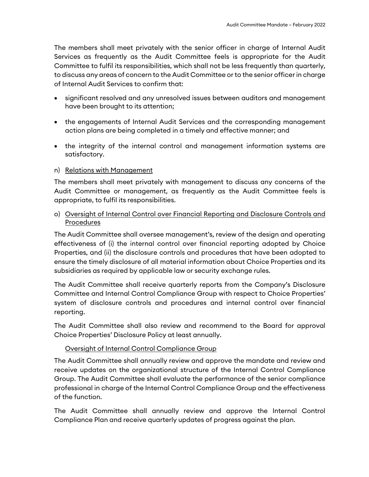The members shall meet privately with the senior officer in charge of Internal Audit Services as frequently as the Audit Committee feels is appropriate for the Audit Committee to fulfil its responsibilities, which shall not be less frequently than quarterly, to discuss any areas of concern to the Audit Committee or to the senior officer in charge of Internal Audit Services to confirm that:

- significant resolved and any unresolved issues between auditors and management have been brought to its attention;
- the engagements of Internal Audit Services and the corresponding management action plans are being completed in a timely and effective manner; and
- the integrity of the internal control and management information systems are satisfactory.

## n) Relations with Management

The members shall meet privately with management to discuss any concerns of the Audit Committee or management, as frequently as the Audit Committee feels is appropriate, to fulfil its responsibilities.

## o) Oversight of Internal Control over Financial Reporting and Disclosure Controls and Procedures

The Audit Committee shall oversee management's, review of the design and operating effectiveness of (i) the internal control over financial reporting adopted by Choice Properties, and (ii) the disclosure controls and procedures that have been adopted to ensure the timely disclosure of all material information about Choice Properties and its subsidiaries as required by applicable law or security exchange rules.

The Audit Committee shall receive quarterly reports from the Company's Disclosure Committee and Internal Control Compliance Group with respect to Choice Properties' system of disclosure controls and procedures and internal control over financial reporting.

The Audit Committee shall also review and recommend to the Board for approval Choice Properties' Disclosure Policy at least annually.

## Oversight of Internal Control Compliance Group

The Audit Committee shall annually review and approve the mandate and review and receive updates on the organizational structure of the Internal Control Compliance Group. The Audit Committee shall evaluate the performance of the senior compliance professional in charge of the Internal Control Compliance Group and the effectiveness of the function.

The Audit Committee shall annually review and approve the Internal Control Compliance Plan and receive quarterly updates of progress against the plan.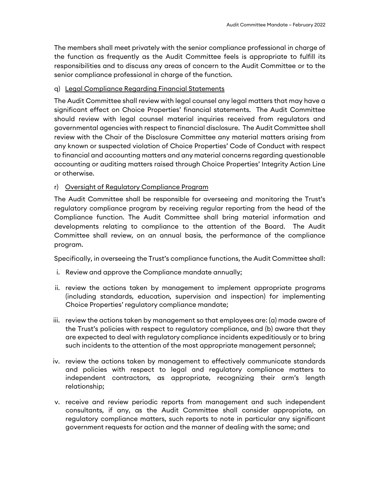The members shall meet privately with the senior compliance professional in charge of the function as frequently as the Audit Committee feels is appropriate to fulfill its responsibilities and to discuss any areas of concern to the Audit Committee or to the senior compliance professional in charge of the function.

#### q) Legal Compliance Regarding Financial Statements

The Audit Committee shall review with legal counsel any legal matters that may have a significant effect on Choice Properties' financial statements. The Audit Committee should review with legal counsel material inquiries received from regulators and governmental agencies with respect to financial disclosure. The Audit Committee shall review with the Chair of the Disclosure Committee any material matters arising from any known or suspected violation of Choice Properties' Code of Conduct with respect to financial and accounting matters and any material concerns regarding questionable accounting or auditing matters raised through Choice Properties' Integrity Action Line or otherwise.

## r) Oversight of Regulatory Compliance Program

The Audit Committee shall be responsible for overseeing and monitoring the Trust's regulatory compliance program by receiving regular reporting from the head of the Compliance function. The Audit Committee shall bring material information and developments relating to compliance to the attention of the Board. The Audit Committee shall review, on an annual basis, the performance of the compliance program.

Specifically, in overseeing the Trust's compliance functions, the Audit Committee shall:

- i. Review and approve the Compliance mandate annually;
- ii. review the actions taken by management to implement appropriate programs (including standards, education, supervision and inspection) for implementing Choice Properties' regulatory compliance mandate;
- iii. review the actions taken by management so that employees are: (a) made aware of the Trust's policies with respect to regulatory compliance, and (b) aware that they are expected to deal with regulatory compliance incidents expeditiously or to bring such incidents to the attention of the most appropriate management personnel;
- iv. review the actions taken by management to effectively communicate standards and policies with respect to legal and regulatory compliance matters to independent contractors, as appropriate, recognizing their arm's length relationship;
- v. receive and review periodic reports from management and such independent consultants, if any, as the Audit Committee shall consider appropriate, on regulatory compliance matters, such reports to note in particular any significant government requests for action and the manner of dealing with the same; and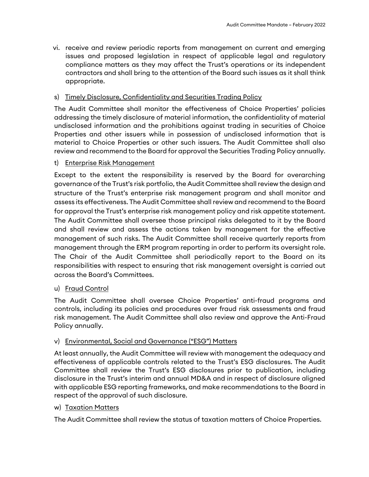vi. receive and review periodic reports from management on current and emerging issues and proposed legislation in respect of applicable legal and regulatory compliance matters as they may affect the Trust's operations or its independent contractors and shall bring to the attention of the Board such issues as it shall think appropriate.

## s) Timely Disclosure, Confidentiality and Securities Trading Policy

The Audit Committee shall monitor the effectiveness of Choice Properties' policies addressing the timely disclosure of material information, the confidentiality of material undisclosed information and the prohibitions against trading in securities of Choice Properties and other issuers while in possession of undisclosed information that is material to Choice Properties or other such issuers. The Audit Committee shall also review and recommend to the Board for approval the Securities Trading Policy annually.

## t) Enterprise Risk Management

Except to the extent the responsibility is reserved by the Board for overarching governance of the Trust's risk portfolio, the Audit Committee shall review the design and structure of the Trust's enterprise risk management program and shall monitor and assess its effectiveness. The Audit Committee shall review and recommend to the Board for approval the Trust's enterprise risk management policy and risk appetite statement. The Audit Committee shall oversee those principal risks delegated to it by the Board and shall review and assess the actions taken by management for the effective management of such risks. The Audit Committee shall receive quarterly reports from management through the ERM program reporting in order to perform its oversight role. The Chair of the Audit Committee shall periodically report to the Board on its responsibilities with respect to ensuring that risk management oversight is carried out across the Board's Committees.

#### u) Fraud Control

The Audit Committee shall oversee Choice Properties' anti-fraud programs and controls, including its policies and procedures over fraud risk assessments and fraud risk management. The Audit Committee shall also review and approve the Anti-Fraud Policy annually.

#### v) Environmental, Social and Governance ("ESG") Matters

At least annually, the Audit Committee will review with management the adequacy and effectiveness of applicable controls related to the Trust's ESG disclosures. The Audit Committee shall review the Trust's ESG disclosures prior to publication, including disclosure in the Trust's interim and annual MD&A and in respect of disclosure aligned with applicable ESG reporting frameworks, and make recommendations to the Board in respect of the approval of such disclosure.

#### w) Taxation Matters

The Audit Committee shall review the status of taxation matters of Choice Properties.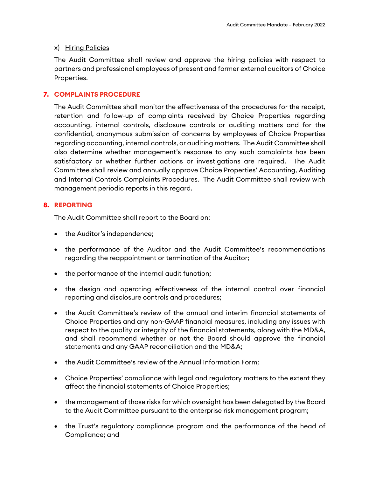#### x) Hiring Policies

The Audit Committee shall review and approve the hiring policies with respect to partners and professional employees of present and former external auditors of Choice Properties.

#### **7. COMPLAINTS PROCEDURE**

The Audit Committee shall monitor the effectiveness of the procedures for the receipt, retention and follow-up of complaints received by Choice Properties regarding accounting, internal controls, disclosure controls or auditing matters and for the confidential, anonymous submission of concerns by employees of Choice Properties regarding accounting, internal controls, or auditing matters. The Audit Committee shall also determine whether management's response to any such complaints has been satisfactory or whether further actions or investigations are required. The Audit Committee shall review and annually approve Choice Properties' Accounting, Auditing and Internal Controls Complaints Procedures. The Audit Committee shall review with management periodic reports in this regard.

#### **8. REPORTING**

The Audit Committee shall report to the Board on:

- the Auditor's independence;
- the performance of the Auditor and the Audit Committee's recommendations regarding the reappointment or termination of the Auditor;
- the performance of the internal audit function;
- the design and operating effectiveness of the internal control over financial reporting and disclosure controls and procedures;
- the Audit Committee's review of the annual and interim financial statements of Choice Properties and any non-GAAP financial measures, including any issues with respect to the quality or integrity of the financial statements, along with the MD&A, and shall recommend whether or not the Board should approve the financial statements and any GAAP reconciliation and the MD&A;
- the Audit Committee's review of the Annual Information Form;
- Choice Properties' compliance with legal and regulatory matters to the extent they affect the financial statements of Choice Properties;
- the management of those risks for which oversight has been delegated by the Board to the Audit Committee pursuant to the enterprise risk management program;
- the Trust's regulatory compliance program and the performance of the head of Compliance; and